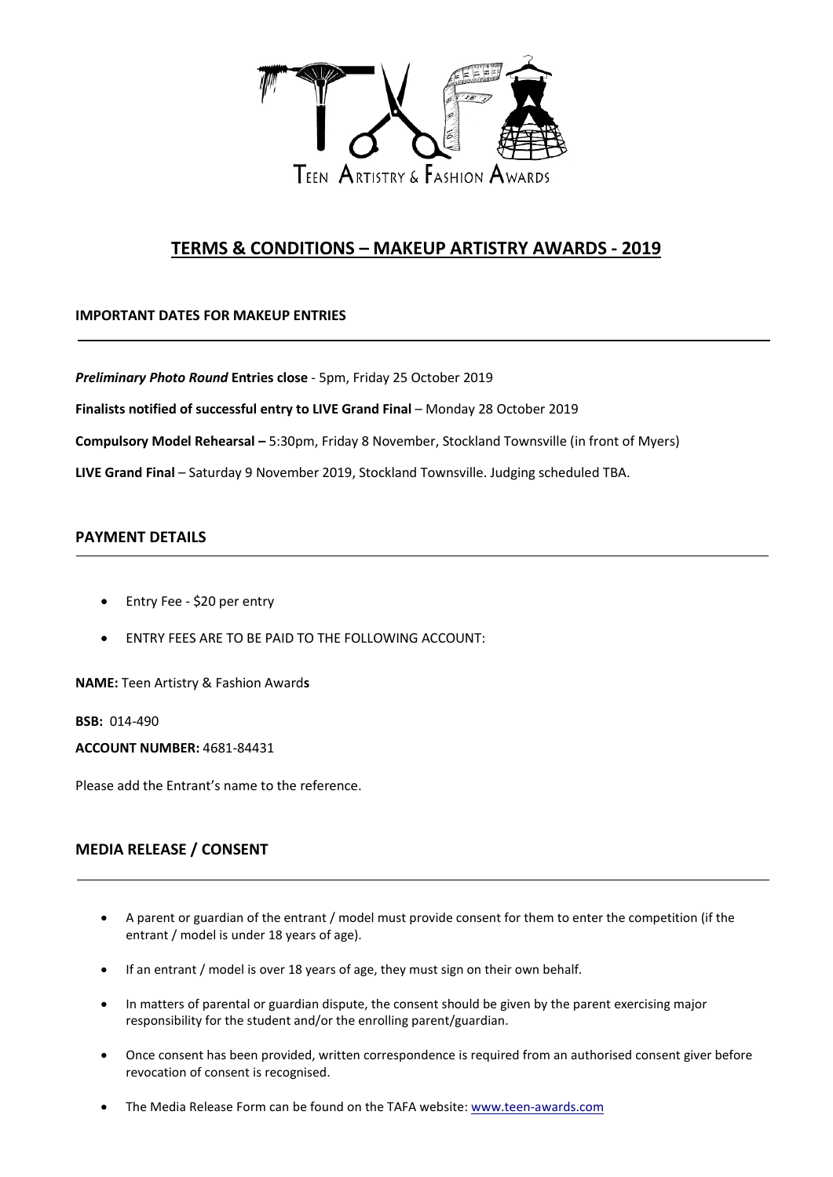

# **TERMS & CONDITIONS – MAKEUP ARTISTRY AWARDS - 2019**

## **IMPORTANT DATES FOR MAKEUP ENTRIES**

*Preliminary Photo Round* **Entries close** - 5pm, Friday 25 October 2019

**Finalists notified of successful entry to LIVE Grand Final** – Monday 28 October 2019

**Compulsory Model Rehearsal –** 5:30pm, Friday 8 November, Stockland Townsville (in front of Myers)

**LIVE Grand Final** – Saturday 9 November 2019, Stockland Townsville. Judging scheduled TBA.

## **PAYMENT DETAILS**

- Entry Fee \$20 per entry
- ENTRY FEES ARE TO BE PAID TO THE FOLLOWING ACCOUNT:

**NAME:** Teen Artistry & Fashion Award**s**

**BSB:** 014-490

**ACCOUNT NUMBER:** 4681-84431

Please add the Entrant's name to the reference.

# **MEDIA RELEASE / CONSENT**

- A parent or guardian of the entrant / model must provide consent for them to enter the competition (if the entrant / model is under 18 years of age).
- If an entrant / model is over 18 years of age, they must sign on their own behalf.
- In matters of parental or guardian dispute, the consent should be given by the parent exercising major responsibility for the student and/or the enrolling parent/guardian.
- Once consent has been provided, written correspondence is required from an authorised consent giver before revocation of consent is recognised.
- The Media Release Form can be found on the TAFA website: [www.teen-awards.com](http://www.teen-awards.com/)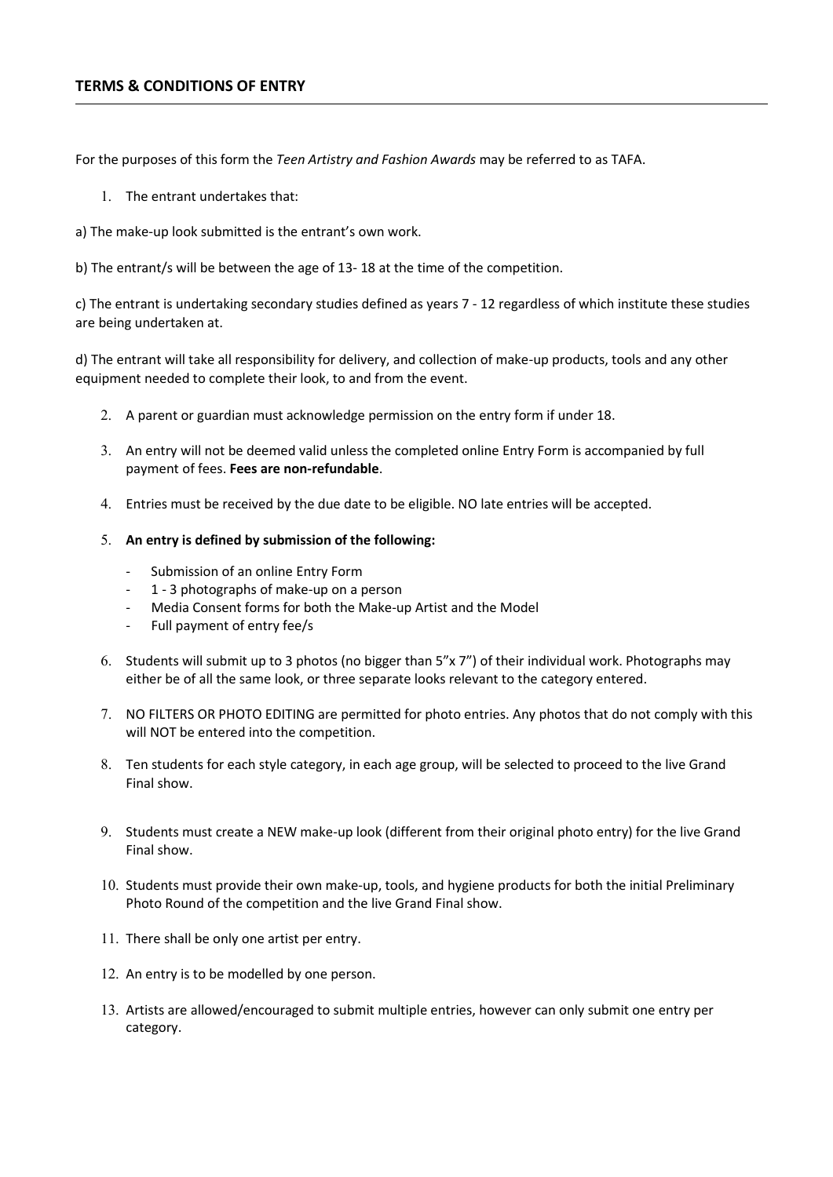#### **TERMS & CONDITIONS OF ENTRY**

For the purposes of this form the *Teen Artistry and Fashion Awards* may be referred to as TAFA.

- 1. The entrant undertakes that:
- a) The make-up look submitted is the entrant's own work.
- b) The entrant/s will be between the age of 13- 18 at the time of the competition.

c) The entrant is undertaking secondary studies defined as years 7 - 12 regardless of which institute these studies are being undertaken at.

d) The entrant will take all responsibility for delivery, and collection of make-up products, tools and any other equipment needed to complete their look, to and from the event.

- 2. A parent or guardian must acknowledge permission on the entry form if under 18.
- 3. An entry will not be deemed valid unless the completed online Entry Form is accompanied by full payment of fees. **Fees are non-refundable**.
- 4. Entries must be received by the due date to be eligible. NO late entries will be accepted.
- 5. **An entry is defined by submission of the following:**
	- Submission of an online Entry Form
	- 1 3 photographs of make-up on a person
	- Media Consent forms for both the Make-up Artist and the Model
	- Full payment of entry fee/s
- 6. Students will submit up to 3 photos (no bigger than 5"x 7") of their individual work. Photographs may either be of all the same look, or three separate looks relevant to the category entered.
- 7. NO FILTERS OR PHOTO EDITING are permitted for photo entries. Any photos that do not comply with this will NOT be entered into the competition.
- 8. Ten students for each style category, in each age group, will be selected to proceed to the live Grand Final show.
- 9. Students must create a NEW make-up look (different from their original photo entry) for the live Grand Final show.
- 10. Students must provide their own make-up, tools, and hygiene products for both the initial Preliminary Photo Round of the competition and the live Grand Final show.
- 11. There shall be only one artist per entry.
- 12. An entry is to be modelled by one person.
- 13. Artists are allowed/encouraged to submit multiple entries, however can only submit one entry per category.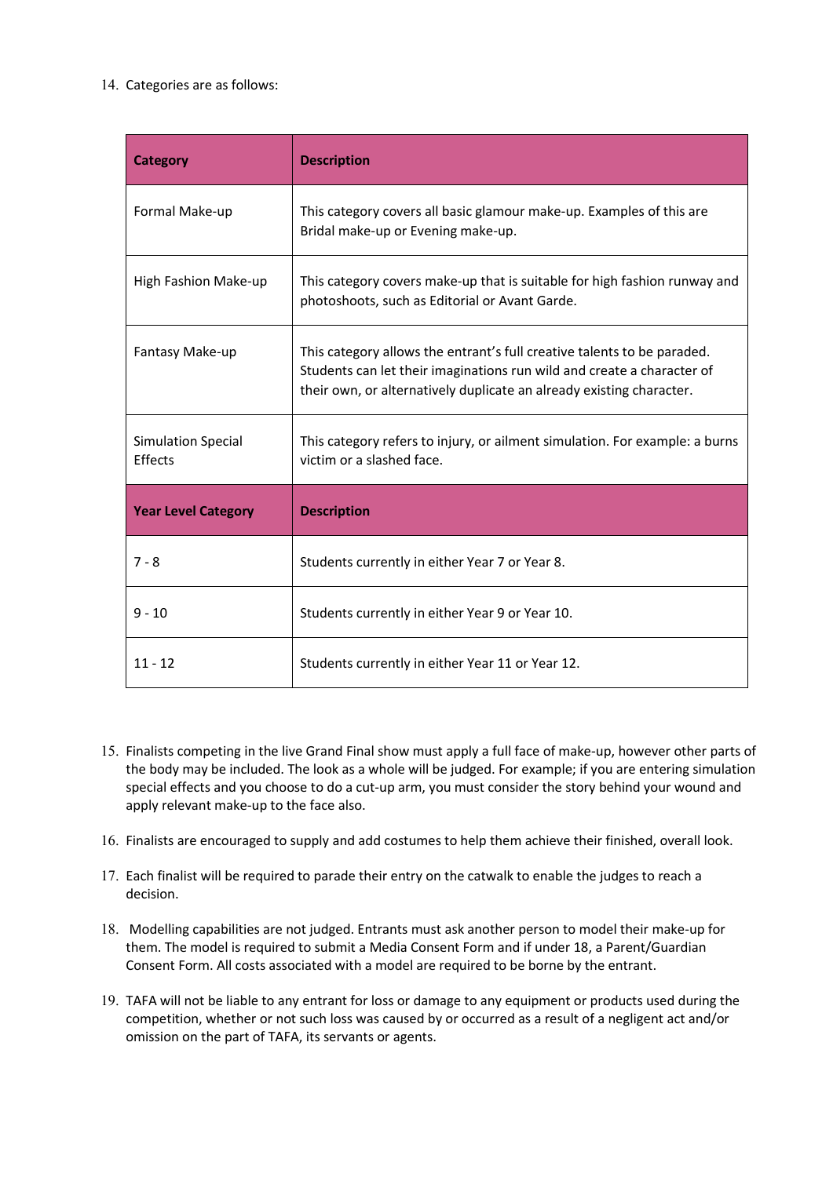### 14. Categories are as follows:

| <b>Category</b>                             | <b>Description</b>                                                                                                                                                                                                        |
|---------------------------------------------|---------------------------------------------------------------------------------------------------------------------------------------------------------------------------------------------------------------------------|
| Formal Make-up                              | This category covers all basic glamour make-up. Examples of this are<br>Bridal make-up or Evening make-up.                                                                                                                |
| High Fashion Make-up                        | This category covers make-up that is suitable for high fashion runway and<br>photoshoots, such as Editorial or Avant Garde.                                                                                               |
| Fantasy Make-up                             | This category allows the entrant's full creative talents to be paraded.<br>Students can let their imaginations run wild and create a character of<br>their own, or alternatively duplicate an already existing character. |
| <b>Simulation Special</b><br><b>Fffects</b> | This category refers to injury, or ailment simulation. For example: a burns<br>victim or a slashed face.                                                                                                                  |
| <b>Year Level Category</b>                  | <b>Description</b>                                                                                                                                                                                                        |
| $7 - 8$                                     | Students currently in either Year 7 or Year 8.                                                                                                                                                                            |
| $9 - 10$                                    | Students currently in either Year 9 or Year 10.                                                                                                                                                                           |
| $11 - 12$                                   | Students currently in either Year 11 or Year 12.                                                                                                                                                                          |

- 15. Finalists competing in the live Grand Final show must apply a full face of make-up, however other parts of the body may be included. The look as a whole will be judged. For example; if you are entering simulation special effects and you choose to do a cut-up arm, you must consider the story behind your wound and apply relevant make-up to the face also.
- 16. Finalists are encouraged to supply and add costumes to help them achieve their finished, overall look.
- 17. Each finalist will be required to parade their entry on the catwalk to enable the judges to reach a decision.
- 18. Modelling capabilities are not judged. Entrants must ask another person to model their make-up for them. The model is required to submit a Media Consent Form and if under 18, a Parent/Guardian Consent Form. All costs associated with a model are required to be borne by the entrant.
- 19. TAFA will not be liable to any entrant for loss or damage to any equipment or products used during the competition, whether or not such loss was caused by or occurred as a result of a negligent act and/or omission on the part of TAFA, its servants or agents.